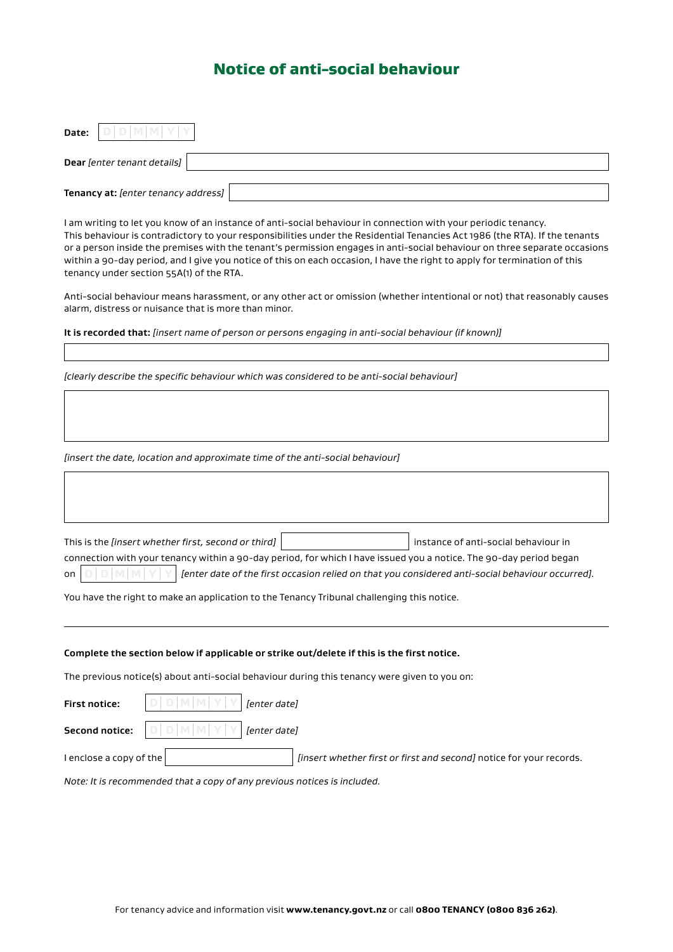## Notice of anti-social behaviour

| Date: | $\Box$<br>M<br>M                    |
|-------|-------------------------------------|
|       | Dear [enter tenant details]         |
|       | Tenancy at: [enter tenancy address] |

I am writing to let you know of an instance of anti-social behaviour in connection with your periodic tenancy. This behaviour is contradictory to your responsibilities under the Residential Tenancies Act 1986 (the RTA). If the tenants or a person inside the premises with the tenant's permission engages in anti-social behaviour on three separate occasions within a 90-day period, and I give you notice of this on each occasion, I have the right to apply for termination of this tenancy under section 55A(1) of the RTA.

Anti-social behaviour means harassment, or any other act or omission (whether intentional or not) that reasonably causes alarm, distress or nuisance that is more than minor.

**It is recorded that:** *[insert name of person or persons engaging in anti-social behaviour (if known)]*

*[clearly describe the specific behaviour which was considered to be anti-social behaviour]*

*[insert the date, location and approximate time of the anti-social behaviour]*

|                                                                                                                    | This is the <i>linsert</i> whether first, second or third]                                                                                                        |  | instance of anti-social behaviour in |  |  |
|--------------------------------------------------------------------------------------------------------------------|-------------------------------------------------------------------------------------------------------------------------------------------------------------------|--|--------------------------------------|--|--|
| connection with your tenancy within a 90-day period, for which I have issued you a notice. The 90-day period began |                                                                                                                                                                   |  |                                      |  |  |
| on $ $                                                                                                             | $\mathfrak{g}\ \mathbb{D}\ \mathbb{M}\ \mathbb{N}\ \mathbb{Y}\ $ [enter date of the first occasion relied on that you considered anti-social behaviour occurred]. |  |                                      |  |  |

You have the right to make an application to the Tenancy Tribunal challenging this notice.

## **Complete the section below if applicable or strike out/delete if this is the first notice.**

The previous notice(s) about anti-social behaviour during this tenancy were given to you on:

| <b>First notice:</b>    | $ D D M M Y Y $ [enter date]                                                                                                         |                                                                     |
|-------------------------|--------------------------------------------------------------------------------------------------------------------------------------|---------------------------------------------------------------------|
|                         | <b>Second notice:</b> $\big \mathbb{D}\big \mathbb{D}\big \mathbb{M}\big \mathbb{M}\big \mathbb{Y}\big \mathbb{Y}\big $ [enter date] |                                                                     |
| I enclose a copy of the |                                                                                                                                      | linsert whether first or first and second) notice for your records. |

*Note: It is recommended that a copy of any previous notices is included.*